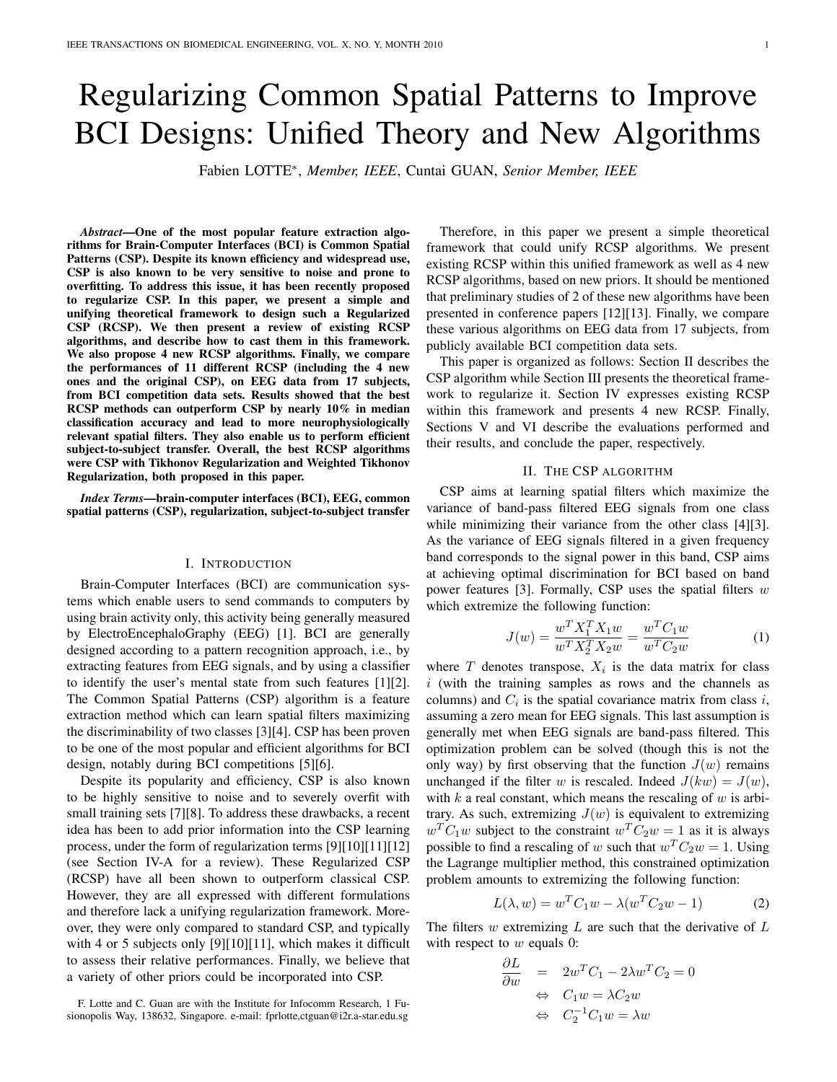# Regularizing Common Spatial Patterns to Improve BCI Designs: Unified Theory and New Algorithms

Fabien LOTTE<sup>∗</sup> , *Member, IEEE*, Cuntai GUAN, *Senior Member, IEEE*

*Abstract*—One of the most popular feature extraction algorithms for Brain-Computer Interfaces (BCI) is Common Spatial Patterns (CSP). Despite its known efficiency and widespread use, CSP is also known to be very sensitive to noise and prone to overfitting. To address this issue, it has been recently proposed to regularize CSP. In this paper, we present a simple and unifying theoretical framework to design such a Regularized CSP (RCSP). We then present a review of existing RCSP algorithms, and describe how to cast them in this framework. We also propose 4 new RCSP algorithms. Finally, we compare the performances of 11 different RCSP (including the 4 new ones and the original CSP), on EEG data from 17 subjects, from BCI competition data sets. Results showed that the best RCSP methods can outperform CSP by nearly 10% in median classification accuracy and lead to more neurophysiologically relevant spatial filters. They also enable us to perform efficient subject-to-subject transfer. Overall, the best RCSP algorithms were CSP with Tikhonov Regularization and Weighted Tikhonov Regularization, both proposed in this paper.

*Index Terms*—brain-computer interfaces (BCI), EEG, common spatial patterns (CSP), regularization, subject-to-subject transfer

## I. INTRODUCTION

Brain-Computer Interfaces (BCI) are communication systems which enable users to send commands to computers by using brain activity only, this activity being generally measured by ElectroEncephaloGraphy (EEG) [1]. BCI are generally designed according to a pattern recognition approach, i.e., by extracting features from EEG signals, and by using a classifier to identify the user's mental state from such features [1][2]. The Common Spatial Patterns (CSP) algorithm is a feature extraction method which can learn spatial filters maximizing the discriminability of two classes [3][4]. CSP has been proven to be one of the most popular and efficient algorithms for BCI design, notably during BCI competitions [5][6].

Despite its popularity and efficiency, CSP is also known to be highly sensitive to noise and to severely overfit with small training sets [7][8]. To address these drawbacks, a recent idea has been to add prior information into the CSP learning process, under the form of regularization terms [9][10][11][12] (see Section IV-A for a review). These Regularized CSP (RCSP) have all been shown to outperform classical CSP. However, they are all expressed with different formulations and therefore lack a unifying regularization framework. Moreover, they were only compared to standard CSP, and typically with 4 or 5 subjects only [9][10][11], which makes it difficult to assess their relative performances. Finally, we believe that a variety of other priors could be incorporated into CSP.

F. Lotte and C. Guan are with the Institute for Infocomm Research, 1 Fusionopolis Way, 138632, Singapore. e-mail: fprlotte,ctguan@i2r.a-star.edu.sg

Therefore, in this paper we present a simple theoretical framework that could unify RCSP algorithms. We present existing RCSP within this unified framework as well as 4 new RCSP algorithms, based on new priors. It should be mentioned that preliminary studies of 2 of these new algorithms have been presented in conference papers [12][13]. Finally, we compare these various algorithms on EEG data from 17 subjects, from publicly available BCI competition data sets.

This paper is organized as follows: Section II describes the CSP algorithm while Section III presents the theoretical framework to regularize it. Section IV expresses existing RCSP within this framework and presents 4 new RCSP. Finally, Sections V and VI describe the evaluations performed and their results, and conclude the paper, respectively.

# II. THE CSP ALGORITHM

CSP aims at learning spatial filters which maximize the variance of band-pass filtered EEG signals from one class while minimizing their variance from the other class [4][3]. As the variance of EEG signals filtered in a given frequency band corresponds to the signal power in this band, CSP aims at achieving optimal discrimination for BCI based on band power features [3]. Formally, CSP uses the spatial filters  $w$ which extremize the following function:

$$
J(w) = \frac{w^T X_1^T X_1 w}{w^T X_2^T X_2 w} = \frac{w^T C_1 w}{w^T C_2 w}
$$
 (1)

where  $T$  denotes transpose,  $X_i$  is the data matrix for class  $i$  (with the training samples as rows and the channels as columns) and  $C_i$  is the spatial covariance matrix from class i, assuming a zero mean for EEG signals. This last assumption is generally met when EEG signals are band-pass filtered. This optimization problem can be solved (though this is not the only way) by first observing that the function  $J(w)$  remains unchanged if the filter w is rescaled. Indeed  $J(kw) = J(w)$ , with k a real constant, which means the rescaling of  $w$  is arbitrary. As such, extremizing  $J(w)$  is equivalent to extremizing  $w^T C_1 w$  subject to the constraint  $w^T C_2 w = 1$  as it is always possible to find a rescaling of w such that  $w^T C_2 w = 1$ . Using the Lagrange multiplier method, this constrained optimization problem amounts to extremizing the following function:

$$
L(\lambda, w) = w^T C_1 w - \lambda (w^T C_2 w - 1)
$$
 (2)

The filters  $w$  extremizing  $L$  are such that the derivative of  $L$ with respect to  $w$  equals 0:

$$
\frac{\partial L}{\partial w} = 2w^{T}C_{1} - 2\lambda w^{T}C_{2} = 0
$$
  
\n
$$
\Leftrightarrow C_{1}w = \lambda C_{2}w
$$
  
\n
$$
\Leftrightarrow C_{2}^{-1}C_{1}w = \lambda w
$$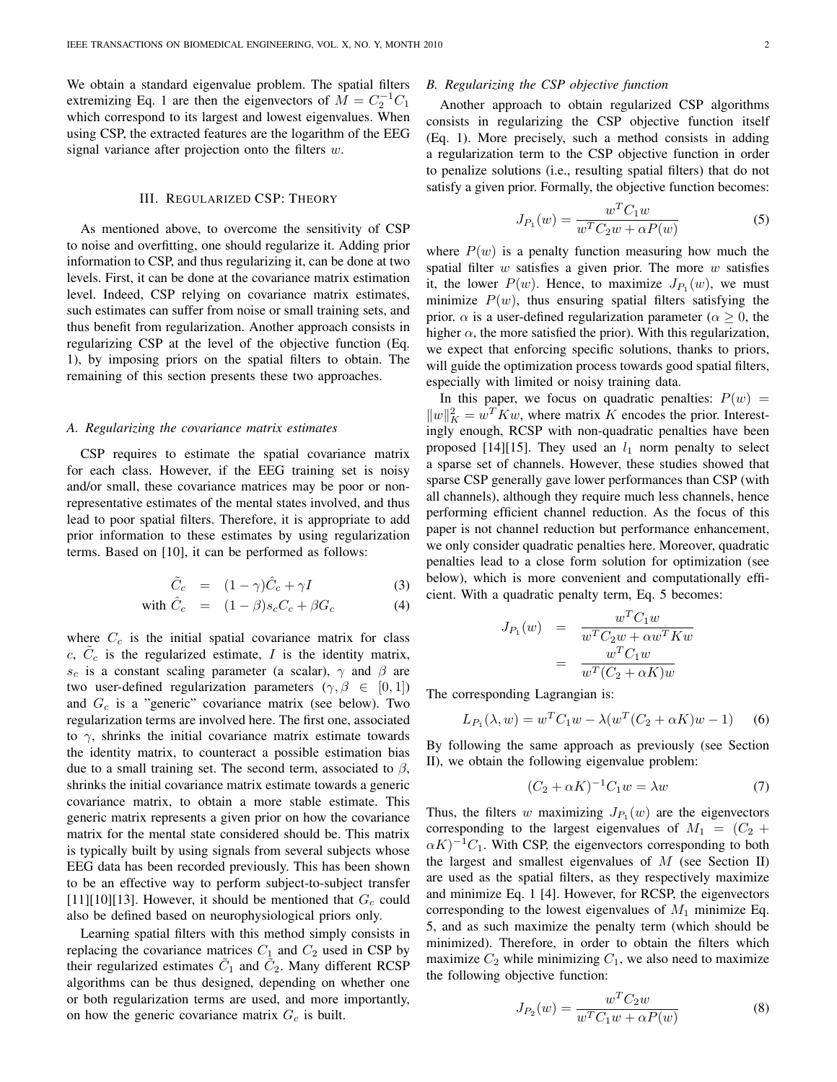We obtain a standard eigenvalue problem. The spatial filters extremizing Eq. 1 are then the eigenvectors of  $\overline{M} = C_2^{-1}C_1$ which correspond to its largest and lowest eigenvalues. When using CSP, the extracted features are the logarithm of the EEG signal variance after projection onto the filters  $w$ .

## III. REGULARIZED CSP: THEORY

As mentioned above, to overcome the sensitivity of CSP to noise and overfitting, one should regularize it. Adding prior information to CSP, and thus regularizing it, can be done at two levels. First, it can be done at the covariance matrix estimation level. Indeed, CSP relying on covariance matrix estimates, such estimates can suffer from noise or small training sets, and thus benefit from regularization. Another approach consists in regularizing CSP at the level of the objective function (Eq. 1), by imposing priors on the spatial filters to obtain. The remaining of this section presents these two approaches.

#### *A. Regularizing the covariance matrix estimates*

CSP requires to estimate the spatial covariance matrix for each class. However, if the EEG training set is noisy and/or small, these covariance matrices may be poor or nonrepresentative estimates of the mental states involved, and thus lead to poor spatial filters. Therefore, it is appropriate to add prior information to these estimates by using regularization terms. Based on [10], it can be performed as follows:

$$
\tilde{C}_c = (1 - \gamma)\hat{C}_c + \gamma I \tag{3}
$$

with 
$$
\hat{C}_c = (1 - \beta)s_c C_c + \beta G_c
$$
 (4)

where  $C_c$  is the initial spatial covariance matrix for class c,  $\tilde{C}_c$  is the regularized estimate, I is the identity matrix,  $s_c$  is a constant scaling parameter (a scalar),  $\gamma$  and  $\beta$  are two user-defined regularization parameters  $(\gamma, \beta \in [0, 1])$ and  $G_c$  is a "generic" covariance matrix (see below). Two regularization terms are involved here. The first one, associated to  $\gamma$ , shrinks the initial covariance matrix estimate towards the identity matrix, to counteract a possible estimation bias due to a small training set. The second term, associated to  $\beta$ , shrinks the initial covariance matrix estimate towards a generic covariance matrix, to obtain a more stable estimate. This generic matrix represents a given prior on how the covariance matrix for the mental state considered should be. This matrix is typically built by using signals from several subjects whose EEG data has been recorded previously. This has been shown to be an effective way to perform subject-to-subject transfer [11][10][13]. However, it should be mentioned that  $G_c$  could also be defined based on neurophysiological priors only.

Learning spatial filters with this method simply consists in replacing the covariance matrices  $C_1$  and  $C_2$  used in CSP by their regularized estimates  $\tilde{C}_1$  and  $\tilde{C}_2$ . Many different RCSP algorithms can be thus designed, depending on whether one or both regularization terms are used, and more importantly, on how the generic covariance matrix  $G_c$  is built.

## *B. Regularizing the CSP objective function*

Another approach to obtain regularized CSP algorithms consists in regularizing the CSP objective function itself (Eq. 1). More precisely, such a method consists in adding a regularization term to the CSP objective function in order to penalize solutions (i.e., resulting spatial filters) that do not satisfy a given prior. Formally, the objective function becomes:

$$
J_{P_1}(w) = \frac{w^T C_1 w}{w^T C_2 w + \alpha P(w)}
$$
 (5)

where  $P(w)$  is a penalty function measuring how much the spatial filter  $w$  satisfies a given prior. The more  $w$  satisfies it, the lower  $P(w)$ . Hence, to maximize  $J_{P_1}(w)$ , we must minimize  $P(w)$ , thus ensuring spatial filters satisfying the prior.  $\alpha$  is a user-defined regularization parameter ( $\alpha \geq 0$ , the higher  $\alpha$ , the more satisfied the prior). With this regularization, we expect that enforcing specific solutions, thanks to priors, will guide the optimization process towards good spatial filters, especially with limited or noisy training data.

In this paper, we focus on quadratic penalties:  $P(w)$  =  $||w||_K^2 = w^T K w$ , where matrix K encodes the prior. Interestingly enough, RCSP with non-quadratic penalties have been proposed [14][15]. They used an  $l_1$  norm penalty to select a sparse set of channels. However, these studies showed that sparse CSP generally gave lower performances than CSP (with all channels), although they require much less channels, hence performing efficient channel reduction. As the focus of this paper is not channel reduction but performance enhancement, we only consider quadratic penalties here. Moreover, quadratic penalties lead to a close form solution for optimization (see below), which is more convenient and computationally efficient. With a quadratic penalty term, Eq. 5 becomes:

$$
J_{P_1}(w) = \frac{w^T C_1 w}{w^T C_2 w + \alpha w^T K w}
$$

$$
= \frac{w^T C_1 w}{w^T (C_2 + \alpha K) w}
$$

The corresponding Lagrangian is:

$$
L_{P_1}(\lambda, w) = w^T C_1 w - \lambda (w^T (C_2 + \alpha K) w - 1)
$$
 (6)

By following the same approach as previously (see Section II), we obtain the following eigenvalue problem:

$$
(C_2 + \alpha K)^{-1}C_1w = \lambda w \tag{7}
$$

Thus, the filters w maximizing  $J_{P_1}(w)$  are the eigenvectors corresponding to the largest eigenvalues of  $M_1 = (C_2 +$  $\alpha K$ )<sup>-1</sup>C<sub>1</sub>. With CSP, the eigenvectors corresponding to both the largest and smallest eigenvalues of  $M$  (see Section II) are used as the spatial filters, as they respectively maximize and minimize Eq. 1 [4]. However, for RCSP, the eigenvectors corresponding to the lowest eigenvalues of  $M_1$  minimize Eq. 5, and as such maximize the penalty term (which should be minimized). Therefore, in order to obtain the filters which maximize  $C_2$  while minimizing  $C_1$ , we also need to maximize the following objective function:

$$
J_{P_2}(w) = \frac{w^T C_2 w}{w^T C_1 w + \alpha P(w)}
$$
 (8)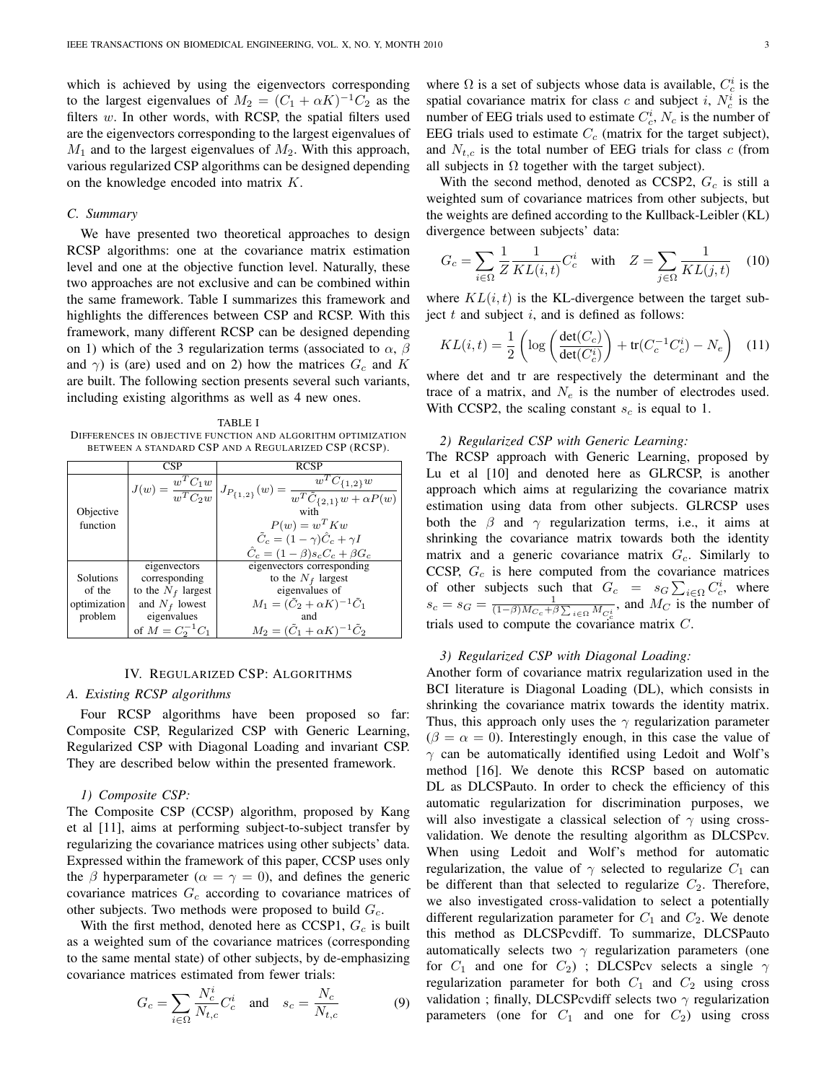which is achieved by using the eigenvectors corresponding to the largest eigenvalues of  $M_2 = (C_1 + \alpha K)^{-1}C_2$  as the filters  $w$ . In other words, with RCSP, the spatial filters used are the eigenvectors corresponding to the largest eigenvalues of  $M_1$  and to the largest eigenvalues of  $M_2$ . With this approach, various regularized CSP algorithms can be designed depending on the knowledge encoded into matrix K.

## *C. Summary*

We have presented two theoretical approaches to design RCSP algorithms: one at the covariance matrix estimation level and one at the objective function level. Naturally, these two approaches are not exclusive and can be combined within the same framework. Table I summarizes this framework and highlights the differences between CSP and RCSP. With this framework, many different RCSP can be designed depending on 1) which of the 3 regularization terms (associated to  $\alpha$ ,  $\beta$ and  $\gamma$ ) is (are) used and on 2) how the matrices  $G_c$  and K are built. The following section presents several such variants, including existing algorithms as well as 4 new ones.

TABLE I DIFFERENCES IN OBJECTIVE FUNCTION AND ALGORITHM OPTIMIZATION BETWEEN A STANDARD CSP AND A REGULARIZED CSP (RCSP).

|              | <b>CSP</b>           | <b>RCSP</b>                                                                                                                                  |
|--------------|----------------------|----------------------------------------------------------------------------------------------------------------------------------------------|
|              |                      | $\overline{J(w)=\frac{w^TC_1w}{w^TC_2w}}\left J_{P_{\{1,2\}}}(w)=\frac{w^T\tilde{C}_{\{1,2\}}w}{w^T\tilde{C}_{\{2,1\}}w+\alpha P(w)}\right.$ |
| Objective    |                      | with                                                                                                                                         |
| function     |                      | $P(w) = w^T K w$                                                                                                                             |
|              |                      | $\tilde{C}_c = (1 - \gamma)\hat{C}_c + \gamma I$                                                                                             |
|              |                      | $\hat{C}_c = (1 - \beta)s_cC_c + \beta G_c$                                                                                                  |
|              | eigenvectors         | eigenvectors corresponding                                                                                                                   |
| Solutions    | corresponding        | to the $N_f$ largest                                                                                                                         |
| of the       | to the $N_f$ largest | eigenvalues of                                                                                                                               |
| optimization | and $N_f$ lowest     | $M_1 = (\tilde{C}_2 + \alpha K)^{-1} C_1$                                                                                                    |
| problem      | eigenvalues          | and                                                                                                                                          |
|              | of $M = C_2^{-1}C_1$ | $M_2 = (\tilde{C}_1 + \alpha K)^{-1} \tilde{C}_2$                                                                                            |

# IV. REGULARIZED CSP: ALGORITHMS

## *A. Existing RCSP algorithms*

Four RCSP algorithms have been proposed so far: Composite CSP, Regularized CSP with Generic Learning, Regularized CSP with Diagonal Loading and invariant CSP. They are described below within the presented framework.

# *1) Composite CSP:*

The Composite CSP (CCSP) algorithm, proposed by Kang et al [11], aims at performing subject-to-subject transfer by regularizing the covariance matrices using other subjects' data. Expressed within the framework of this paper, CCSP uses only the  $\beta$  hyperparameter ( $\alpha = \gamma = 0$ ), and defines the generic covariance matrices  $G_c$  according to covariance matrices of other subjects. Two methods were proposed to build  $G_c$ .

With the first method, denoted here as CCSP1,  $G_c$  is built as a weighted sum of the covariance matrices (corresponding to the same mental state) of other subjects, by de-emphasizing covariance matrices estimated from fewer trials:

$$
G_c = \sum_{i \in \Omega} \frac{N_c^i}{N_{t,c}} C_c^i \quad \text{and} \quad s_c = \frac{N_c}{N_{t,c}} \tag{9}
$$

where  $\Omega$  is a set of subjects whose data is available,  $C_c^i$  is the spatial covariance matrix for class c and subject i,  $N_c^i$  is the number of EEG trials used to estimate  $C_c^i$ ,  $N_c$  is the number of EEG trials used to estimate  $C_c$  (matrix for the target subject), and  $N_{t,c}$  is the total number of EEG trials for class c (from all subjects in  $\Omega$  together with the target subject).

With the second method, denoted as CCSP2,  $G_c$  is still a weighted sum of covariance matrices from other subjects, but the weights are defined according to the Kullback-Leibler (KL) divergence between subjects' data:

$$
G_c = \sum_{i \in \Omega} \frac{1}{Z} \frac{1}{KL(i, t)} C_c^i \quad \text{with} \quad Z = \sum_{j \in \Omega} \frac{1}{KL(j, t)} \quad (10)
$$

where  $KL(i, t)$  is the KL-divergence between the target subject  $t$  and subject  $i$ , and is defined as follows:

$$
KL(i,t) = \frac{1}{2} \left( \log \left( \frac{\det(C_c)}{\det(C_c^i)} \right) + \text{tr}(C_c^{-1} C_c^i) - N_e \right) \tag{11}
$$

where det and tr are respectively the determinant and the trace of a matrix, and  $N_e$  is the number of electrodes used. With CCSP2, the scaling constant  $s_c$  is equal to 1.

## *2) Regularized CSP with Generic Learning:*

The RCSP approach with Generic Learning, proposed by Lu et al [10] and denoted here as GLRCSP, is another approach which aims at regularizing the covariance matrix estimation using data from other subjects. GLRCSP uses both the  $\beta$  and  $\gamma$  regularization terms, i.e., it aims at shrinking the covariance matrix towards both the identity matrix and a generic covariance matrix  $G_c$ . Similarly to CCSP,  $G_c$  is here computed from the covariance matrices of other subjects such that  $G_c = s_G \sum_{i \in \Omega} C_c^i$ , where  $s_c = s_G = \frac{1}{(1-\beta)Mc_c + \beta \sum_{i \in \Omega} M_{C_c^i}}$ , and  $M_C$  is the number of trials used to compute the covariance matrix C.

# *3) Regularized CSP with Diagonal Loading:*

Another form of covariance matrix regularization used in the BCI literature is Diagonal Loading (DL), which consists in shrinking the covariance matrix towards the identity matrix. Thus, this approach only uses the  $\gamma$  regularization parameter  $(\beta = \alpha = 0)$ . Interestingly enough, in this case the value of  $\gamma$  can be automatically identified using Ledoit and Wolf's method [16]. We denote this RCSP based on automatic DL as DLCSPauto. In order to check the efficiency of this automatic regularization for discrimination purposes, we will also investigate a classical selection of  $\gamma$  using crossvalidation. We denote the resulting algorithm as DLCSPcv. When using Ledoit and Wolf's method for automatic regularization, the value of  $\gamma$  selected to regularize  $C_1$  can be different than that selected to regularize  $C_2$ . Therefore, we also investigated cross-validation to select a potentially different regularization parameter for  $C_1$  and  $C_2$ . We denote this method as DLCSPcvdiff. To summarize, DLCSPauto automatically selects two  $\gamma$  regularization parameters (one for  $C_1$  and one for  $C_2$ ) ; DLCSPcv selects a single  $\gamma$ regularization parameter for both  $C_1$  and  $C_2$  using cross validation ; finally, DLCSPcvdiff selects two  $\gamma$  regularization parameters (one for  $C_1$  and one for  $C_2$ ) using cross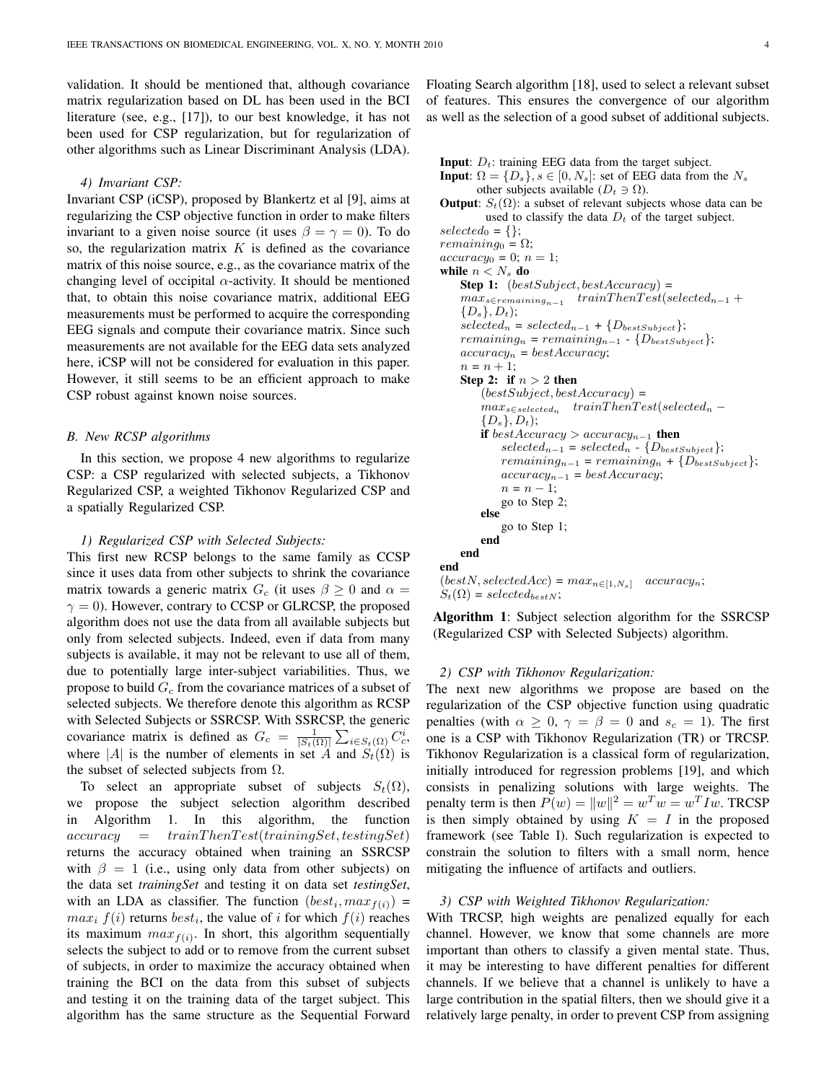validation. It should be mentioned that, although covariance matrix regularization based on DL has been used in the BCI literature (see, e.g., [17]), to our best knowledge, it has not been used for CSP regularization, but for regularization of other algorithms such as Linear Discriminant Analysis (LDA).

## *4) Invariant CSP:*

Invariant CSP (iCSP), proposed by Blankertz et al [9], aims at regularizing the CSP objective function in order to make filters invariant to a given noise source (it uses  $\beta = \gamma = 0$ ). To do so, the regularization matrix  $K$  is defined as the covariance matrix of this noise source, e.g., as the covariance matrix of the changing level of occipital  $\alpha$ -activity. It should be mentioned that, to obtain this noise covariance matrix, additional EEG measurements must be performed to acquire the corresponding EEG signals and compute their covariance matrix. Since such measurements are not available for the EEG data sets analyzed here, iCSP will not be considered for evaluation in this paper. However, it still seems to be an efficient approach to make CSP robust against known noise sources.

# *B. New RCSP algorithms*

In this section, we propose 4 new algorithms to regularize CSP: a CSP regularized with selected subjects, a Tikhonov Regularized CSP, a weighted Tikhonov Regularized CSP and a spatially Regularized CSP.

## *1) Regularized CSP with Selected Subjects:*

This first new RCSP belongs to the same family as CCSP since it uses data from other subjects to shrink the covariance matrix towards a generic matrix  $G_c$  (it uses  $\beta \geq 0$  and  $\alpha =$  $\gamma = 0$ ). However, contrary to CCSP or GLRCSP, the proposed algorithm does not use the data from all available subjects but only from selected subjects. Indeed, even if data from many subjects is available, it may not be relevant to use all of them, due to potentially large inter-subject variabilities. Thus, we propose to build  $G<sub>c</sub>$  from the covariance matrices of a subset of selected subjects. We therefore denote this algorithm as RCSP with Selected Subjects or SSRCSP. With SSRCSP, the generic covariance matrix is defined as  $G_c = \frac{1}{|S_t(\Omega)|} \sum_{i \in S_t(\Omega)} C_c^i$ , where |A| is the number of elements in set A and  $S_t(\Omega)$  is the subset of selected subjects from  $\Omega$ .

To select an appropriate subset of subjects  $S_t(\Omega)$ , we propose the subject selection algorithm described in Algorithm 1. In this algorithm, the function  $accuracy = trainThenTest(trainingSet, testingSet)$ returns the accuracy obtained when training an SSRCSP with  $\beta = 1$  (i.e., using only data from other subjects) on the data set *trainingSet* and testing it on data set *testingSet*, with an LDA as classifier. The function  $(best_i, max_{f(i)})$  =  $max_i f(i)$  returns  $best_i$ , the value of i for which  $f(i)$  reaches its maximum  $max_{f(i)}$ . In short, this algorithm sequentially selects the subject to add or to remove from the current subset of subjects, in order to maximize the accuracy obtained when training the BCI on the data from this subset of subjects and testing it on the training data of the target subject. This algorithm has the same structure as the Sequential Forward Floating Search algorithm [18], used to select a relevant subset of features. This ensures the convergence of our algorithm as well as the selection of a good subset of additional subjects.

```
Input: D_t: training EEG data from the target subject.
Input: \Omega = \{D_s\}, s \in [0, N_s]: set of EEG data from the N_sother subjects available (D_t \ni \Omega).
Output: S_t(\Omega): a subset of relevant subjects whose data can be
         used to classify the data D_t of the target subject.
selected_0 = \{\};remaining_0 = \Omega;accuracy_0 = 0; n = 1;while n < N_s do
    Step 1: (bestSubject, bestAccuracy) =max_{s \in remaining_{n-1}} trainThenTest(selected<sub>n−1</sub>+
    \{D_s\}, D_t);selected_n = selected_{n-1} + \{D_{bestSubject}\};remaining_n = remaining_{n-1} - \{D_{bestSubject}\};accuracy_n = bestAccuracy;n = n + 1;Step 2: if n > 2 then
        (bestSubject, bestAccuracy) =max_{s \in selected_n} trainThenTest(selected<sub>n</sub> –
        \{D_s\}, D_t);if bestAccuracy > accuracy_{n-1} then
            selected_{n-1} = selected_n - \{D_{bestSubject}\};remaining_{n-1} = remaining_n + \{D_{bestSubject}\};accuracy_{n-1} = bestAccuracy;n = n - 1;
            go to Step 2;
        else
            go to Step 1;
        end
    end
end
```

```
(bestN, selectedAcc) = max_{n \in [1, N_s]} accuracy<sub>n</sub>;
S_t(\Omega) = selected_{bestN};
```
Algorithm 1: Subject selection algorithm for the SSRCSP (Regularized CSP with Selected Subjects) algorithm.

#### *2) CSP with Tikhonov Regularization:*

The next new algorithms we propose are based on the regularization of the CSP objective function using quadratic penalties (with  $\alpha \geq 0$ ,  $\gamma = \beta = 0$  and  $s_c = 1$ ). The first one is a CSP with Tikhonov Regularization (TR) or TRCSP. Tikhonov Regularization is a classical form of regularization, initially introduced for regression problems [19], and which consists in penalizing solutions with large weights. The penalty term is then  $P(w) = ||w||^2 = w^T w = w^T I w$ . TRCSP is then simply obtained by using  $K = I$  in the proposed framework (see Table I). Such regularization is expected to constrain the solution to filters with a small norm, hence mitigating the influence of artifacts and outliers.

# *3) CSP with Weighted Tikhonov Regularization:*

With TRCSP, high weights are penalized equally for each channel. However, we know that some channels are more important than others to classify a given mental state. Thus, it may be interesting to have different penalties for different channels. If we believe that a channel is unlikely to have a large contribution in the spatial filters, then we should give it a relatively large penalty, in order to prevent CSP from assigning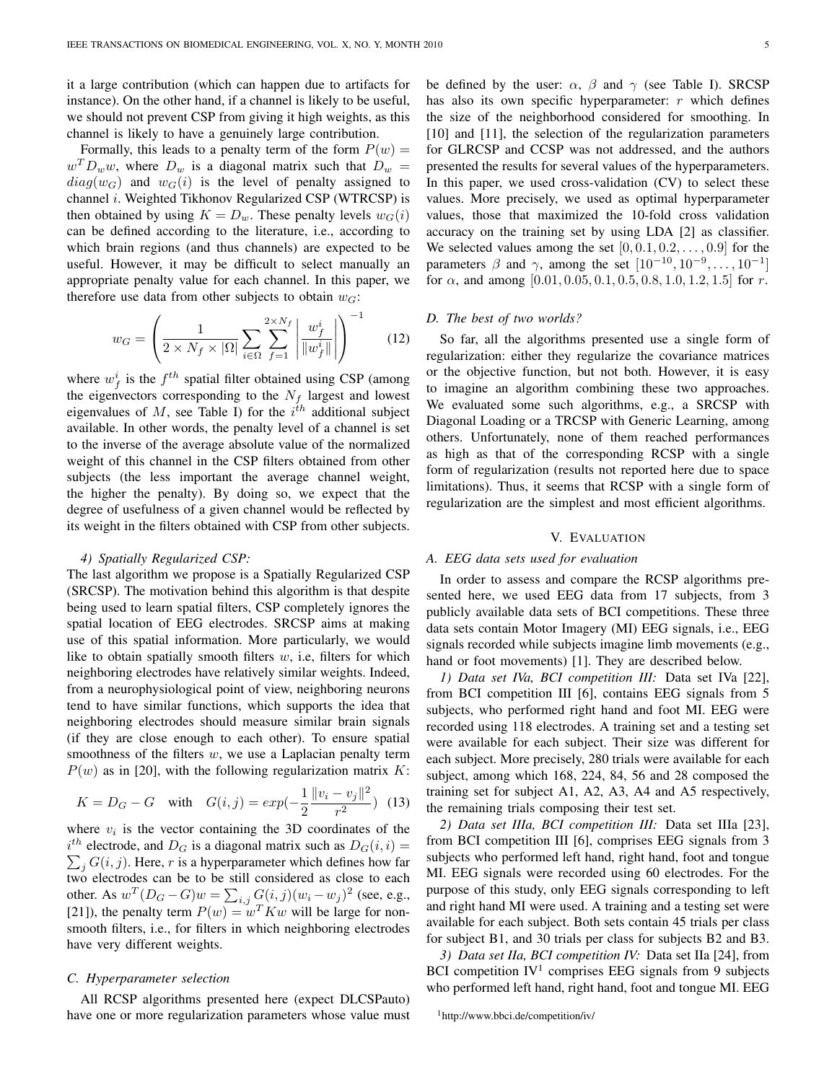it a large contribution (which can happen due to artifacts for instance). On the other hand, if a channel is likely to be useful, we should not prevent CSP from giving it high weights, as this channel is likely to have a genuinely large contribution.

Formally, this leads to a penalty term of the form  $P(w) =$  $w^T D_w w$ , where  $D_w$  is a diagonal matrix such that  $D_w =$  $diag(w_G)$  and  $w_G(i)$  is the level of penalty assigned to channel *i*. Weighted Tikhonov Regularized CSP (WTRCSP) is then obtained by using  $K = D_w$ . These penalty levels  $w_G(i)$ can be defined according to the literature, i.e., according to which brain regions (and thus channels) are expected to be useful. However, it may be difficult to select manually an appropriate penalty value for each channel. In this paper, we therefore use data from other subjects to obtain  $w_G$ :

$$
w_G = \left(\frac{1}{2 \times N_f \times |\Omega|} \sum_{i \in \Omega} \sum_{f=1}^{2 \times N_f} \left| \frac{w_f^i}{\|w_f^i\|} \right| \right)^{-1} \tag{12}
$$

where  $w_f^i$  is the  $f^{th}$  spatial filter obtained using CSP (among the eigenvectors corresponding to the  $N_f$  largest and lowest eigenvalues of M, see Table I) for the  $i^{th}$  additional subject available. In other words, the penalty level of a channel is set to the inverse of the average absolute value of the normalized weight of this channel in the CSP filters obtained from other subjects (the less important the average channel weight, the higher the penalty). By doing so, we expect that the degree of usefulness of a given channel would be reflected by its weight in the filters obtained with CSP from other subjects.

## *4) Spatially Regularized CSP:*

The last algorithm we propose is a Spatially Regularized CSP (SRCSP). The motivation behind this algorithm is that despite being used to learn spatial filters, CSP completely ignores the spatial location of EEG electrodes. SRCSP aims at making use of this spatial information. More particularly, we would like to obtain spatially smooth filters  $w$ , i.e., filters for which neighboring electrodes have relatively similar weights. Indeed, from a neurophysiological point of view, neighboring neurons tend to have similar functions, which supports the idea that neighboring electrodes should measure similar brain signals (if they are close enough to each other). To ensure spatial smoothness of the filters  $w$ , we use a Laplacian penalty term  $P(w)$  as in [20], with the following regularization matrix K:

$$
K = D_G - G \quad \text{with} \quad G(i, j) = exp(-\frac{1}{2} \frac{\|v_i - v_j\|^2}{r^2}) \tag{13}
$$

where  $v_i$  is the vector containing the 3D coordinates of the  $i^{th}$  electrode, and  $D_G$  is a diagonal matrix such as  $D_G(i, i)$  =  $\sum_j G(i, j)$ . Here, r is a hyperparameter which defines how far two electrodes can be to be still considered as close to each other. As  $w^{T}(D_{G}-G)w = \sum_{i,j} G(i,j)(w_{i}-w_{j})^{2}$  (see, e.g., [21]), the penalty term  $P(w) = w^T K w$  will be large for nonsmooth filters, i.e., for filters in which neighboring electrodes have very different weights.

## *C. Hyperparameter selection*

All RCSP algorithms presented here (expect DLCSPauto) have one or more regularization parameters whose value must be defined by the user:  $\alpha$ ,  $\beta$  and  $\gamma$  (see Table I). SRCSP has also its own specific hyperparameter:  $r$  which defines the size of the neighborhood considered for smoothing. In [10] and [11], the selection of the regularization parameters for GLRCSP and CCSP was not addressed, and the authors presented the results for several values of the hyperparameters. In this paper, we used cross-validation (CV) to select these values. More precisely, we used as optimal hyperparameter values, those that maximized the 10-fold cross validation accuracy on the training set by using LDA [2] as classifier. We selected values among the set  $[0, 0.1, 0.2, \ldots, 0.9]$  for the parameters  $\beta$  and  $\gamma$ , among the set  $[10^{-10}, 10^{-9}, \dots, 10^{-1}]$ for  $\alpha$ , and among [0.01, 0.05, 0.1, 0.5, 0.8, 1.0, 1.2, 1.5] for r.

## *D. The best of two worlds?*

So far, all the algorithms presented use a single form of regularization: either they regularize the covariance matrices or the objective function, but not both. However, it is easy to imagine an algorithm combining these two approaches. We evaluated some such algorithms, e.g., a SRCSP with Diagonal Loading or a TRCSP with Generic Learning, among others. Unfortunately, none of them reached performances as high as that of the corresponding RCSP with a single form of regularization (results not reported here due to space limitations). Thus, it seems that RCSP with a single form of regularization are the simplest and most efficient algorithms.

#### V. EVALUATION

## *A. EEG data sets used for evaluation*

In order to assess and compare the RCSP algorithms presented here, we used EEG data from 17 subjects, from 3 publicly available data sets of BCI competitions. These three data sets contain Motor Imagery (MI) EEG signals, i.e., EEG signals recorded while subjects imagine limb movements (e.g., hand or foot movements) [1]. They are described below.

*1) Data set IVa, BCI competition III:* Data set IVa [22], from BCI competition III [6], contains EEG signals from 5 subjects, who performed right hand and foot MI. EEG were recorded using 118 electrodes. A training set and a testing set were available for each subject. Their size was different for each subject. More precisely, 280 trials were available for each subject, among which 168, 224, 84, 56 and 28 composed the training set for subject A1, A2, A3, A4 and A5 respectively, the remaining trials composing their test set.

*2) Data set IIIa, BCI competition III:* Data set IIIa [23], from BCI competition III [6], comprises EEG signals from 3 subjects who performed left hand, right hand, foot and tongue MI. EEG signals were recorded using 60 electrodes. For the purpose of this study, only EEG signals corresponding to left and right hand MI were used. A training and a testing set were available for each subject. Both sets contain 45 trials per class for subject B1, and 30 trials per class for subjects B2 and B3.

*3) Data set IIa, BCI competition IV:* Data set IIa [24], from BCI competition  $IV<sup>1</sup>$  comprises EEG signals from 9 subjects who performed left hand, right hand, foot and tongue MI. EEG

<sup>1</sup>http://www.bbci.de/competition/iv/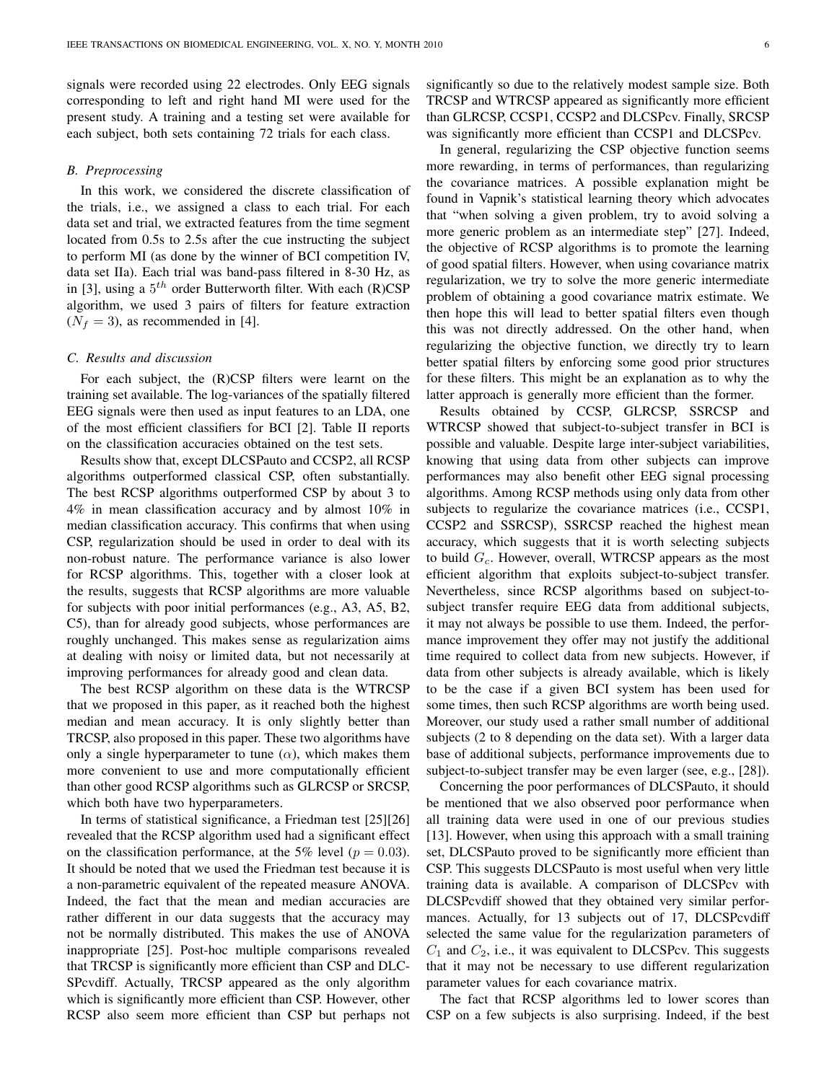signals were recorded using 22 electrodes. Only EEG signals corresponding to left and right hand MI were used for the present study. A training and a testing set were available for each subject, both sets containing 72 trials for each class.

## *B. Preprocessing*

In this work, we considered the discrete classification of the trials, i.e., we assigned a class to each trial. For each data set and trial, we extracted features from the time segment located from 0.5s to 2.5s after the cue instructing the subject to perform MI (as done by the winner of BCI competition IV, data set IIa). Each trial was band-pass filtered in 8-30 Hz, as in [3], using a  $5<sup>th</sup>$  order Butterworth filter. With each (R)CSP algorithm, we used 3 pairs of filters for feature extraction  $(N_f = 3)$ , as recommended in [4].

## *C. Results and discussion*

For each subject, the (R)CSP filters were learnt on the training set available. The log-variances of the spatially filtered EEG signals were then used as input features to an LDA, one of the most efficient classifiers for BCI [2]. Table II reports on the classification accuracies obtained on the test sets.

Results show that, except DLCSPauto and CCSP2, all RCSP algorithms outperformed classical CSP, often substantially. The best RCSP algorithms outperformed CSP by about 3 to 4% in mean classification accuracy and by almost 10% in median classification accuracy. This confirms that when using CSP, regularization should be used in order to deal with its non-robust nature. The performance variance is also lower for RCSP algorithms. This, together with a closer look at the results, suggests that RCSP algorithms are more valuable for subjects with poor initial performances (e.g., A3, A5, B2, C5), than for already good subjects, whose performances are roughly unchanged. This makes sense as regularization aims at dealing with noisy or limited data, but not necessarily at improving performances for already good and clean data.

The best RCSP algorithm on these data is the WTRCSP that we proposed in this paper, as it reached both the highest median and mean accuracy. It is only slightly better than TRCSP, also proposed in this paper. These two algorithms have only a single hyperparameter to tune  $(\alpha)$ , which makes them more convenient to use and more computationally efficient than other good RCSP algorithms such as GLRCSP or SRCSP, which both have two hyperparameters.

In terms of statistical significance, a Friedman test [25][26] revealed that the RCSP algorithm used had a significant effect on the classification performance, at the 5% level ( $p = 0.03$ ). It should be noted that we used the Friedman test because it is a non-parametric equivalent of the repeated measure ANOVA. Indeed, the fact that the mean and median accuracies are rather different in our data suggests that the accuracy may not be normally distributed. This makes the use of ANOVA inappropriate [25]. Post-hoc multiple comparisons revealed that TRCSP is significantly more efficient than CSP and DLC-SPcvdiff. Actually, TRCSP appeared as the only algorithm which is significantly more efficient than CSP. However, other RCSP also seem more efficient than CSP but perhaps not significantly so due to the relatively modest sample size. Both TRCSP and WTRCSP appeared as significantly more efficient than GLRCSP, CCSP1, CCSP2 and DLCSPcv. Finally, SRCSP was significantly more efficient than CCSP1 and DLCSPcv.

In general, regularizing the CSP objective function seems more rewarding, in terms of performances, than regularizing the covariance matrices. A possible explanation might be found in Vapnik's statistical learning theory which advocates that "when solving a given problem, try to avoid solving a more generic problem as an intermediate step" [27]. Indeed, the objective of RCSP algorithms is to promote the learning of good spatial filters. However, when using covariance matrix regularization, we try to solve the more generic intermediate problem of obtaining a good covariance matrix estimate. We then hope this will lead to better spatial filters even though this was not directly addressed. On the other hand, when regularizing the objective function, we directly try to learn better spatial filters by enforcing some good prior structures for these filters. This might be an explanation as to why the latter approach is generally more efficient than the former.

Results obtained by CCSP, GLRCSP, SSRCSP and WTRCSP showed that subject-to-subject transfer in BCI is possible and valuable. Despite large inter-subject variabilities, knowing that using data from other subjects can improve performances may also benefit other EEG signal processing algorithms. Among RCSP methods using only data from other subjects to regularize the covariance matrices (i.e., CCSP1, CCSP2 and SSRCSP), SSRCSP reached the highest mean accuracy, which suggests that it is worth selecting subjects to build  $G_c$ . However, overall, WTRCSP appears as the most efficient algorithm that exploits subject-to-subject transfer. Nevertheless, since RCSP algorithms based on subject-tosubject transfer require EEG data from additional subjects, it may not always be possible to use them. Indeed, the performance improvement they offer may not justify the additional time required to collect data from new subjects. However, if data from other subjects is already available, which is likely to be the case if a given BCI system has been used for some times, then such RCSP algorithms are worth being used. Moreover, our study used a rather small number of additional subjects (2 to 8 depending on the data set). With a larger data base of additional subjects, performance improvements due to subject-to-subject transfer may be even larger (see, e.g., [28]).

Concerning the poor performances of DLCSPauto, it should be mentioned that we also observed poor performance when all training data were used in one of our previous studies [13]. However, when using this approach with a small training set, DLCSPauto proved to be significantly more efficient than CSP. This suggests DLCSPauto is most useful when very little training data is available. A comparison of DLCSPcv with DLCSPcvdiff showed that they obtained very similar performances. Actually, for 13 subjects out of 17, DLCSPcvdiff selected the same value for the regularization parameters of  $C_1$  and  $C_2$ , i.e., it was equivalent to DLCSPcv. This suggests that it may not be necessary to use different regularization parameter values for each covariance matrix.

The fact that RCSP algorithms led to lower scores than CSP on a few subjects is also surprising. Indeed, if the best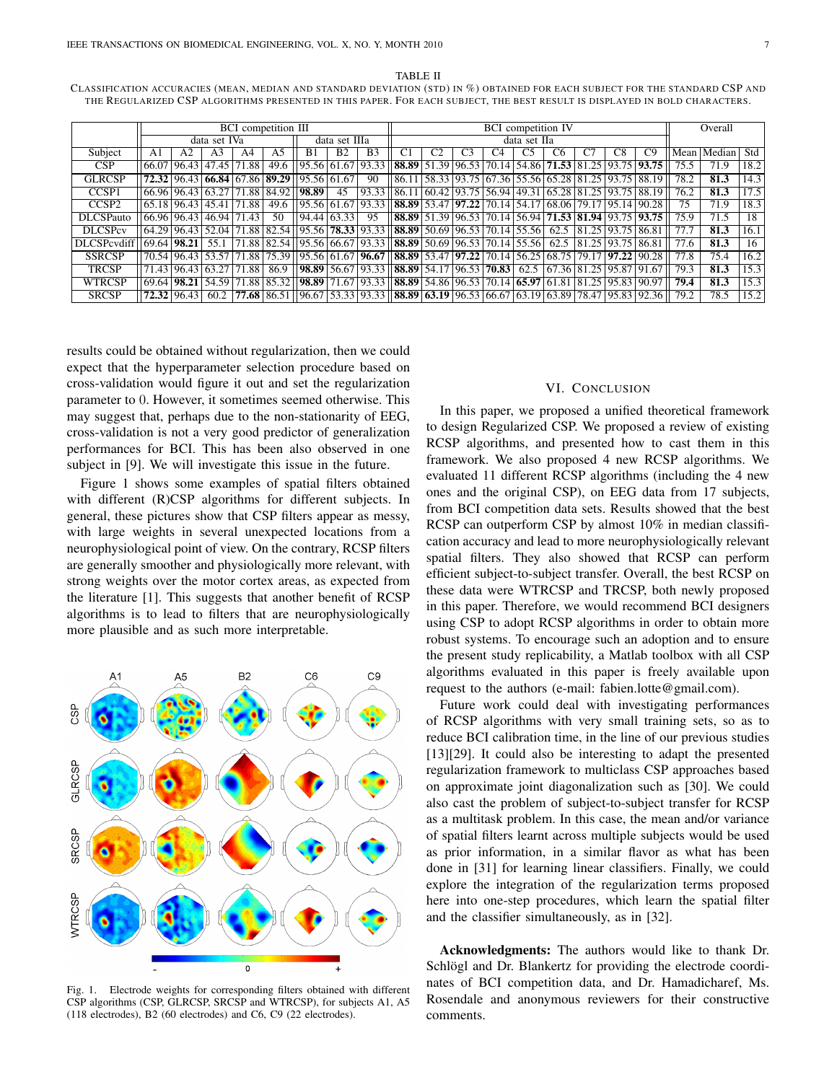TABLE II

CLASSIFICATION ACCURACIES (MEAN, MEDIAN AND STANDARD DEVIATION (STD) IN %) OBTAINED FOR EACH SUBJECT FOR THE STANDARD CSP AND THE REGULARIZED CSP ALGORITHMS PRESENTED IN THIS PAPER. FOR EACH SUBJECT, THE BEST RESULT IS DISPLAYED IN BOLD CHARACTERS.

|                                    | <b>BCI</b> competition III |             |                |                         |      |                                                        |                |                | <b>BCI</b> competition IV                                                          |                               |                |                |                                                                       |                |    |                         |                              | Overall |            |      |
|------------------------------------|----------------------------|-------------|----------------|-------------------------|------|--------------------------------------------------------|----------------|----------------|------------------------------------------------------------------------------------|-------------------------------|----------------|----------------|-----------------------------------------------------------------------|----------------|----|-------------------------|------------------------------|---------|------------|------|
|                                    | data set IVa               |             |                |                         |      | data set IIIa                                          |                |                | data set IIa                                                                       |                               |                |                |                                                                       |                |    |                         |                              |         |            |      |
| Subject                            | A1                         | A2          | A <sub>3</sub> | A4                      | A5   | B1                                                     | B <sub>2</sub> | B <sub>3</sub> | C <sub>1</sub>                                                                     |                               | C <sub>3</sub> | C <sub>4</sub> | C5                                                                    | C <sub>6</sub> | C7 | C8                      | C9                           | Mean l  | Median Std |      |
| CSP                                |                            | 66.07 96.43 |                | 47.45 71.88             |      | 49.6   95.56 61.67 93.33                               |                |                |                                                                                    |                               |                |                | 88.89 51.39 96.53 70.14 54.86 71.53 81.25 93.75 93.75                 |                |    |                         |                              | 75.5    | 71.9       | 18.2 |
| <b>GLRCSP</b>                      |                            |             |                |                         |      | 72.32 96.43 66.84 67.86 89.29 95.56 61.67              |                | 90             | 86.11                                                                              |                               |                |                | 58.33   93.75   67.36   55.56   65.28   81.25   93.75   88.19         |                |    |                         |                              | 78.2    | 81.3       | 14.3 |
| CCSP <sub>1</sub>                  |                            |             |                |                         |      | 66.96   96.43   63.27   71.88   84.92     <b>98.89</b> | 45             | 93.33          | 86.11                                                                              |                               |                |                | $(60.42)$ 93.75 56.94 49.31 65.28 81.25 93.75 88.19                   |                |    |                         |                              | 76.2    | 81.3       | 17.5 |
| CCSP <sub>2</sub>                  |                            | 65.18 96.43 |                | 45.41 71.88             | 49.6 | 95.56   61.67   93.33                                  |                |                |                                                                                    |                               |                |                | 88.89 53.47 97.22 70.14 54.17 68.06 79.17 95.14 90.28                 |                |    |                         |                              | 75      | 71.9       | 18.3 |
| DLCSPauto                          | 66.96 96.43                |             |                | 46.94 71.43             | 50   | 94.44   63.33                                          |                | 95             |                                                                                    |                               |                |                | 88.89   51.39   96.53   70.14   56.94   71.53   81.94   93.75   93.75 |                |    |                         |                              | 75.9    | 71.5       | 18   |
| <b>DLCSPcv</b>                     | 64.29 96.43                |             |                |                         |      | 52.04 71.88 82.54 95.56 78.33 93.33                    |                |                |                                                                                    |                               |                |                | <b>88.89</b>   50.69   96.53   70.14   55.56   62.5                   |                |    | 81.25   93.75   86.81   |                              | 77.7    | 81.3       | 16.1 |
| DLCSPcydiff   69.64   <b>98.21</b> |                            |             | 55.1           |                         |      | 71.88 82.54 195.56 66.67 93.33                         |                |                |                                                                                    |                               |                |                | 88.89 50.69 96.53 70.14 55.56 62.5                                    |                |    | 81.25   93.75   86.81   |                              | 77.6    | 81.3       | 16   |
| <b>SSRCSP</b>                      |                            | 70.54 96.43 | 53.57 71       | .88                     |      | 75.39    95.56   61.67   <b>96.67</b>                  |                |                |                                                                                    | 88.89   53.47   97.22   70.14 |                |                | 56.25 68.75                                                           |                |    | $79.17$ $97.22$ $90.28$ |                              | 77.8    | 75.4       | 16.2 |
| <b>TRCSP</b>                       |                            |             |                | 71.43 96.43 63.27 71.88 | 86.9 | 98.89 56.67 93.33                                      |                |                | 88.89 54.17 96.53 70.83                                                            |                               |                |                |                                                                       |                |    |                         | 62.5 67.36 81.25 95.87 91.67 | 79.3    | 81.3       | 15.3 |
| <b>WTRCSP</b>                      |                            | 69.64 98.21 |                |                         |      | 54.59 71.88 85.32 <b>98.89</b> 71.67 93.33             |                |                | $\left  88.89 \right  54.86 \left  96.53 \right  70.14 \left  65.97 \right  61.81$ |                               |                |                |                                                                       |                |    | 81.25 95.83 90.97       |                              | 79.4    | 81.3       | 15.3 |
| <b>SRCSP</b>                       |                            | 72.32 96.43 | 60.2           |                         |      | <b>77.68</b>   86.51   196.67   53.33   93.33          |                |                | 88.89   63.19   96.53   66.67   63.19   63.89   78.47   95.83   92.36              |                               |                |                |                                                                       |                |    |                         |                              | 79.2    | 78.5       | 15.2 |

results could be obtained without regularization, then we could expect that the hyperparameter selection procedure based on cross-validation would figure it out and set the regularization parameter to 0. However, it sometimes seemed otherwise. This may suggest that, perhaps due to the non-stationarity of EEG, cross-validation is not a very good predictor of generalization performances for BCI. This has been also observed in one subject in [9]. We will investigate this issue in the future.

Figure 1 shows some examples of spatial filters obtained with different (R)CSP algorithms for different subjects. In general, these pictures show that CSP filters appear as messy, with large weights in several unexpected locations from a neurophysiological point of view. On the contrary, RCSP filters are generally smoother and physiologically more relevant, with strong weights over the motor cortex areas, as expected from the literature [1]. This suggests that another benefit of RCSP algorithms is to lead to filters that are neurophysiologically more plausible and as such more interpretable.



Fig. 1. Electrode weights for corresponding filters obtained with different CSP algorithms (CSP, GLRCSP, SRCSP and WTRCSP), for subjects A1, A5 (118 electrodes), B2 (60 electrodes) and C6, C9 (22 electrodes).

## VI. CONCLUSION

In this paper, we proposed a unified theoretical framework to design Regularized CSP. We proposed a review of existing RCSP algorithms, and presented how to cast them in this framework. We also proposed 4 new RCSP algorithms. We evaluated 11 different RCSP algorithms (including the 4 new ones and the original CSP), on EEG data from 17 subjects, from BCI competition data sets. Results showed that the best RCSP can outperform CSP by almost 10% in median classification accuracy and lead to more neurophysiologically relevant spatial filters. They also showed that RCSP can perform efficient subject-to-subject transfer. Overall, the best RCSP on these data were WTRCSP and TRCSP, both newly proposed in this paper. Therefore, we would recommend BCI designers using CSP to adopt RCSP algorithms in order to obtain more robust systems. To encourage such an adoption and to ensure the present study replicability, a Matlab toolbox with all CSP algorithms evaluated in this paper is freely available upon request to the authors (e-mail: fabien.lotte@gmail.com).

Future work could deal with investigating performances of RCSP algorithms with very small training sets, so as to reduce BCI calibration time, in the line of our previous studies [13][29]. It could also be interesting to adapt the presented regularization framework to multiclass CSP approaches based on approximate joint diagonalization such as [30]. We could also cast the problem of subject-to-subject transfer for RCSP as a multitask problem. In this case, the mean and/or variance of spatial filters learnt across multiple subjects would be used as prior information, in a similar flavor as what has been done in [31] for learning linear classifiers. Finally, we could explore the integration of the regularization terms proposed here into one-step procedures, which learn the spatial filter and the classifier simultaneously, as in [32].

Acknowledgments: The authors would like to thank Dr. Schlögl and Dr. Blankertz for providing the electrode coordinates of BCI competition data, and Dr. Hamadicharef, Ms. Rosendale and anonymous reviewers for their constructive comments.